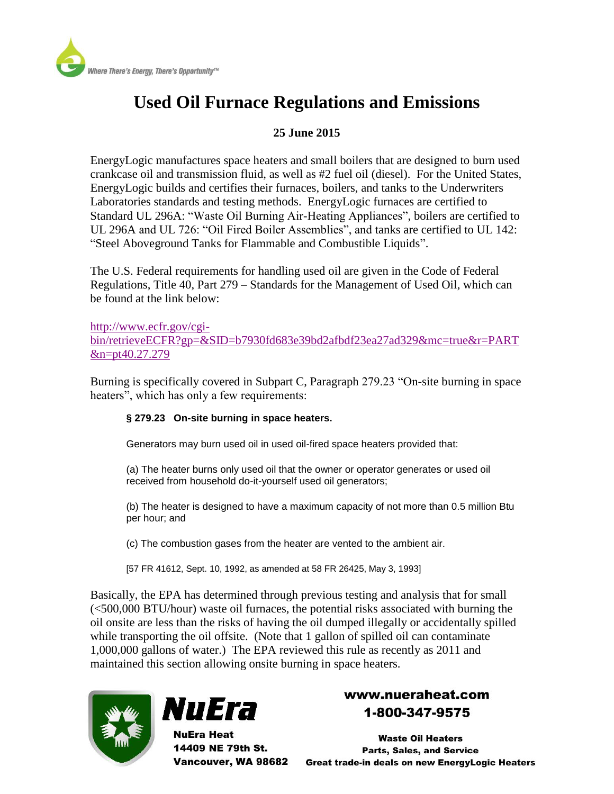

# **Used Oil Furnace Regulations and Emissions**

### **25 June 2015**

EnergyLogic manufactures space heaters and small boilers that are designed to burn used crankcase oil and transmission fluid, as well as #2 fuel oil (diesel). For the United States, EnergyLogic builds and certifies their furnaces, boilers, and tanks to the Underwriters Laboratories standards and testing methods. EnergyLogic furnaces are certified to Standard UL 296A: "Waste Oil Burning Air-Heating Appliances", boilers are certified to UL 296A and UL 726: "Oil Fired Boiler Assemblies", and tanks are certified to UL 142: "Steel Aboveground Tanks for Flammable and Combustible Liquids".

The U.S. Federal requirements for handling used oil are given in the Code of Federal Regulations, Title 40, Part 279 – Standards for the Management of Used Oil, which can be found at the link below:

[http://www.ecfr.gov/cgi](http://www.ecfr.gov/cgi-bin/retrieveECFR?gp=&SID=b7930fd683e39bd2afbdf23ea27ad329&mc=true&r=PART&n=pt40.27.279)[bin/retrieveECFR?gp=&SID=b7930fd683e39bd2afbdf23ea27ad329&mc=true&r=PART](http://www.ecfr.gov/cgi-bin/retrieveECFR?gp=&SID=b7930fd683e39bd2afbdf23ea27ad329&mc=true&r=PART&n=pt40.27.279) [&n=pt40.27.279](http://www.ecfr.gov/cgi-bin/retrieveECFR?gp=&SID=b7930fd683e39bd2afbdf23ea27ad329&mc=true&r=PART&n=pt40.27.279)

Burning is specifically covered in Subpart C, Paragraph 279.23 "On-site burning in space heaters", which has only a few requirements:

#### **§ 279.23 On-site burning in space heaters.**

Generators may burn used oil in used oil-fired space heaters provided that:

(a) The heater burns only used oil that the owner or operator generates or used oil received from household do-it-yourself used oil generators;

(b) The heater is designed to have a maximum capacity of not more than 0.5 million Btu per hour; and

(c) The combustion gases from the heater are vented to the ambient air.

[57 FR 41612, Sept. 10, 1992, as amended at 58 FR 26425, May 3, 1993]

Basically, the EPA has determined through previous testing and analysis that for small (<500,000 BTU/hour) waste oil furnaces, the potential risks associated with burning the oil onsite are less than the risks of having the oil dumped illegally or accidentally spilled while transporting the oil offsite. (Note that 1 gallon of spilled oil can contaminate 1,000,000 gallons of water.) The EPA reviewed this rule as recently as 2011 and maintained this section allowing onsite burning in space heaters.





**NuEra Heat** 14409 NE 79th St.

## www.nueraheat.com 1-800-347-9575

**Waste Oil Heaters Parts, Sales, and Service** Vancouver, WA 98682 Great trade-in deals on new EnergyLogic Heaters